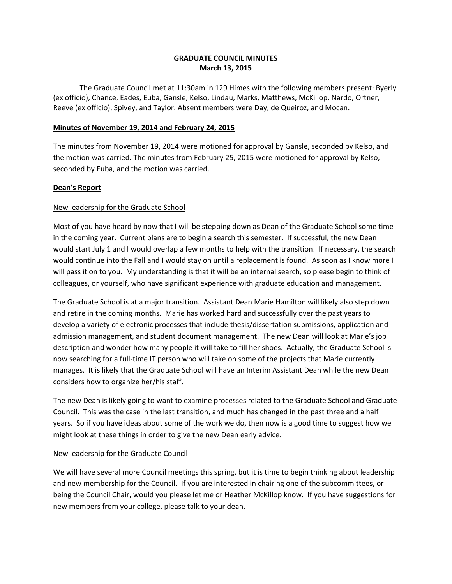# **GRADUATE COUNCIL MINUTES March 13, 2015**

 The Graduate Council met at 11:30am in 129 Himes with the following members present: Byerly (ex officio), Chance, Eades, Euba, Gansle, Kelso, Lindau, Marks, Matthews, McKillop, Nardo, Ortner, Reeve (ex officio), Spivey, and Taylor. Absent members were Day, de Queiroz, and Mocan.

# **Minutes of November 19, 2014 and February 24, 2015**

The minutes from November 19, 2014 were motioned for approval by Gansle, seconded by Kelso, and the motion was carried. The minutes from February 25, 2015 were motioned for approval by Kelso, seconded by Euba, and the motion was carried.

#### **Dean's Report**

# New leadership for the Graduate School

 would continue into the Fall and I would stay on until a replacement is found. As soon as I know more I Most of you have heard by now that I will be stepping down as Dean of the Graduate School some time in the coming year. Current plans are to begin a search this semester. If successful, the new Dean would start July 1 and I would overlap a few months to help with the transition. If necessary, the search will pass it on to you. My understanding is that it will be an internal search, so please begin to think of colleagues, or yourself, who have significant experience with graduate education and management.

considers how to organize her/his staff. The Graduate School is at a major transition. Assistant Dean Marie Hamilton will likely also step down and retire in the coming months. Marie has worked hard and successfully over the past years to develop a variety of electronic processes that include thesis/dissertation submissions, application and admission management, and student document management. The new Dean will look at Marie's job description and wonder how many people it will take to fill her shoes. Actually, the Graduate School is now searching for a full-time IT person who will take on some of the projects that Marie currently manages. It is likely that the Graduate School will have an Interim Assistant Dean while the new Dean

The new Dean is likely going to want to examine processes related to the Graduate School and Graduate Council. This was the case in the last transition, and much has changed in the past three and a half years. So if you have ideas about some of the work we do, then now is a good time to suggest how we might look at these things in order to give the new Dean early advice.

#### New leadership for the Graduate Council

We will have several more Council meetings this spring, but it is time to begin thinking about leadership and new membership for the Council. If you are interested in chairing one of the subcommittees, or being the Council Chair, would you please let me or Heather McKillop know. If you have suggestions for new members from your college, please talk to your dean.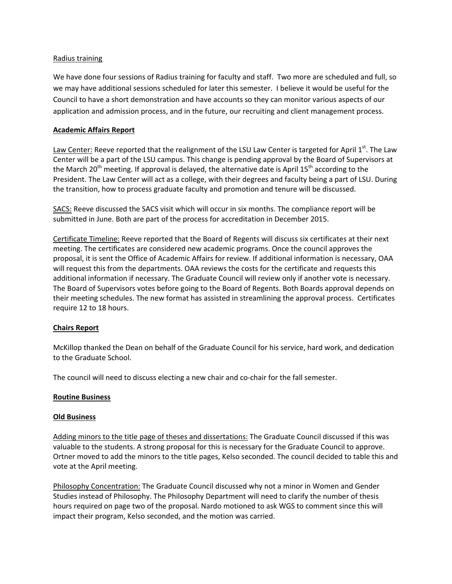#### Radius training

We have done four sessions of Radius training for faculty and staff. Two more are scheduled and full, so we may have additional sessions scheduled for later this semester. I believe it would be useful for the Council to have a short demonstration and have accounts so they can monitor various aspects of our application and admission process, and in the future, our recruiting and client management process.

#### **Academic Affairs Report**

 the transition, how to process graduate faculty and promotion and tenure will be discussed. Law Center: Reeve reported that the realignment of the LSU Law Center is targeted for April 1st. The Law Center will be a part of the LSU campus. This change is pending approval by the Board of Supervisors at the March 20<sup>th</sup> meeting. If approval is delayed, the alternative date is April 15<sup>th</sup> according to the President. The Law Center will act as a college, with their degrees and faculty being a part of LSU. During

SACS: Reeve discussed the SACS visit which will occur in six months. The compliance report will be submitted in June. Both are part of the process for accreditation in December 2015.

Certificate Timeline: Reeve reported that the Board of Regents will discuss six certificates at their next meeting. The certificates are considered new academic programs. Once the council approves the proposal, it is sent the Office of Academic Affairs for review. If additional information is necessary, OAA will request this from the departments. OAA reviews the costs for the certificate and requests this additional information if necessary. The Graduate Council will review only if another vote is necessary. The Board of Supervisors votes before going to the Board of Regents. Both Boards approval depends on their meeting schedules. The new format has assisted in streamlining the approval process. Certificates require 12 to 18 hours.

# **Chairs Report**

McKillop thanked the Dean on behalf of the Graduate Council for his service, hard work, and dedication to the Graduate School.

The council will need to discuss electing a new chair and co-chair for the fall semester.

#### **Routine Business**

#### **Old Business**

Adding minors to the title page of theses and dissertations: The Graduate Council discussed if this was valuable to the students. A strong proposal for this is necessary for the Graduate Council to approve. Ortner moved to add the minors to the title pages, Kelso seconded. The council decided to table this and vote at the April meeting.

Philosophy Concentration: The Graduate Council discussed why not a minor in Women and Gender Studies instead of Philosophy. The Philosophy Department will need to clarify the number of thesis hours required on page two of the proposal. Nardo motioned to ask WGS to comment since this will impact their program, Kelso seconded, and the motion was carried.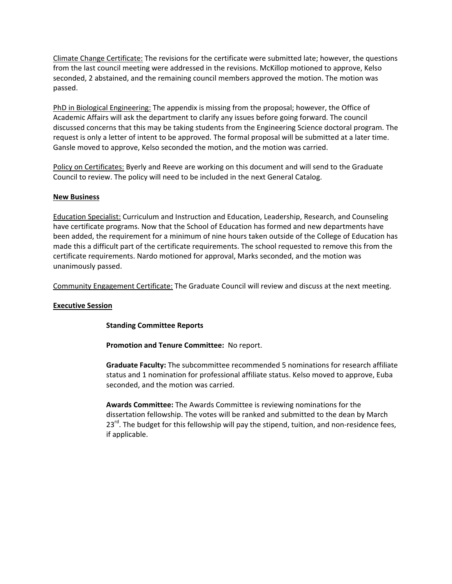Climate Change Certificate: The revisions for the certificate were submitted late; however, the questions from the last council meeting were addressed in the revisions. McKillop motioned to approve, Kelso seconded, 2 abstained, and the remaining council members approved the motion. The motion was passed.

PhD in Biological Engineering: The appendix is missing from the proposal; however, the Office of Academic Affairs will ask the department to clarify any issues before going forward. The council discussed concerns that this may be taking students from the Engineering Science doctoral program. The request is only a letter of intent to be approved. The formal proposal will be submitted at a later time. Gansle moved to approve, Kelso seconded the motion, and the motion was carried.

Policy on Certificates: Byerly and Reeve are working on this document and will send to the Graduate Council to review. The policy will need to be included in the next General Catalog.

# **New Business**

Education Specialist: Curriculum and Instruction and Education, Leadership, Research, and Counseling have certificate programs. Now that the School of Education has formed and new departments have been added, the requirement for a minimum of nine hours taken outside of the College of Education has made this a difficult part of the certificate requirements. The school requested to remove this from the certificate requirements. Nardo motioned for approval, Marks seconded, and the motion was unanimously passed.

Community Engagement Certificate: The Graduate Council will review and discuss at the next meeting.

# **Executive Session**

# **Standing Committee Reports**

**Promotion and Tenure Committee:** No report.

**Graduate Faculty:** The subcommittee recommended 5 nominations for research affiliate status and 1 nomination for professional affiliate status. Kelso moved to approve, Euba seconded, and the motion was carried.

**Awards Committee:** The Awards Committee is reviewing nominations for the dissertation fellowship. The votes will be ranked and submitted to the dean by March  $23<sup>rd</sup>$ . The budget for this fellowship will pay the stipend, tuition, and non-residence fees, if applicable.